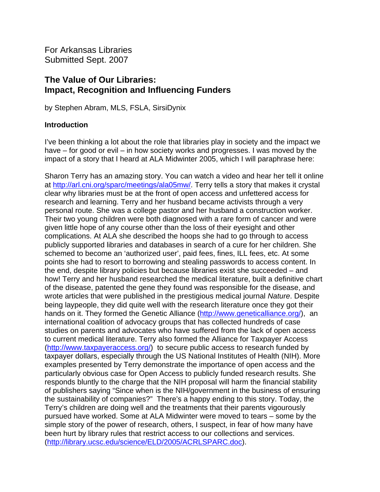For Arkansas Libraries Submitted Sept. 2007

# **The Value of Our Libraries: Impact, Recognition and Influencing Funders**

by Stephen Abram, MLS, FSLA, SirsiDynix

## **Introduction**

I've been thinking a lot about the role that libraries play in society and the impact we have – for good or evil – in how society works and progresses. I was moved by the impact of a story that I heard at ALA Midwinter 2005, which I will paraphrase here:

Sharon Terry has an amazing story. You can watch a video and hear her tell it online at<http://arl.cni.org/sparc/meetings/ala05mw/>. Terry tells a story that makes it crystal clear why libraries must be at the front of open access and unfettered access for research and learning. Terry and her husband became activists through a very personal route. She was a college pastor and her husband a construction worker. Their two young children were both diagnosed with a rare form of cancer and were given little hope of any course other than the loss of their eyesight and other complications. At ALA she described the hoops she had to go through to access publicly supported libraries and databases in search of a cure for her children. She schemed to become an 'authorized user', paid fees, fines, ILL fees, etc. At some points she had to resort to borrowing and stealing passwords to access content. In the end, despite library policies but because libraries exist she succeeded – and how! Terry and her husband researched the medical literature, built a definitive chart of the disease, patented the gene they found was responsible for the disease, and wrote articles that were published in the prestigious medical journal *Nature*. Despite being laypeople, they did quite well with the research literature once they got their hands on it. They formed the Genetic Alliance [\(http://www.geneticalliance.org/\)](http://www.geneticalliance.org/), an international coalition of advocacy groups that has collected hundreds of case studies on parents and advocates who have suffered from the lack of open access to current medical literature. Terry also formed the Alliance for Taxpayer Access ([http://www.taxpayeraccess.org/\)](http://www.taxpayeraccess.org/) to secure public access to research funded by taxpayer dollars, especially through the US National Institutes of Health (NIH). More examples presented by Terry demonstrate the importance of open access and the particularly obvious case for Open Access to publicly funded research results. She responds bluntly to the charge that the NIH proposal will harm the financial stability of publishers saying "Since when is the NIH/government in the business of ensuring the sustainability of companies?" There's a happy ending to this story. Today, the Terry's children are doing well and the treatments that their parents vigourously pursued have worked. Some at ALA Midwinter were moved to tears – some by the simple story of the power of research, others, I suspect, in fear of how many have been hurt by library rules that restrict access to our collections and services. (<http://library.ucsc.edu/science/ELD/2005/ACRLSPARC.doc>).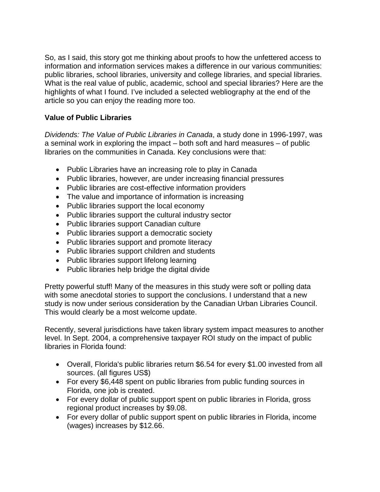So, as I said, this story got me thinking about proofs to how the unfettered access to information and information services makes a difference in our various communities: public libraries, school libraries, university and college libraries, and special libraries. What is the real value of public, academic, school and special libraries? Here are the highlights of what I found. I've included a selected webliography at the end of the article so you can enjoy the reading more too.

# **Value of Public Libraries**

*Dividends: The Value of Public Libraries in Canada*, a study done in 1996-1997, was a seminal work in exploring the impact – both soft and hard measures – of public libraries on the communities in Canada. Key conclusions were that:

- Public Libraries have an increasing role to play in Canada
- Public libraries, however, are under increasing financial pressures
- Public libraries are cost-effective information providers
- The value and importance of information is increasing
- Public libraries support the local economy
- Public libraries support the cultural industry sector
- Public libraries support Canadian culture
- Public libraries support a democratic society
- Public libraries support and promote literacy
- Public libraries support children and students
- Public libraries support lifelong learning
- Public libraries help bridge the digital divide

Pretty powerful stuff! Many of the measures in this study were soft or polling data with some anecdotal stories to support the conclusions. I understand that a new study is now under serious consideration by the Canadian Urban Libraries Council. This would clearly be a most welcome update.

Recently, several jurisdictions have taken library system impact measures to another level. In Sept. 2004, a comprehensive taxpayer ROI study on the impact of public libraries in Florida found:

- Overall, Florida's public libraries return \$6.54 for every \$1.00 invested from all sources. (all figures US\$)
- For every \$6,448 spent on public libraries from public funding sources in Florida, one job is created.
- For every dollar of public support spent on public libraries in Florida, gross regional product increases by \$9.08.
- For every dollar of public support spent on public libraries in Florida, income (wages) increases by \$12.66.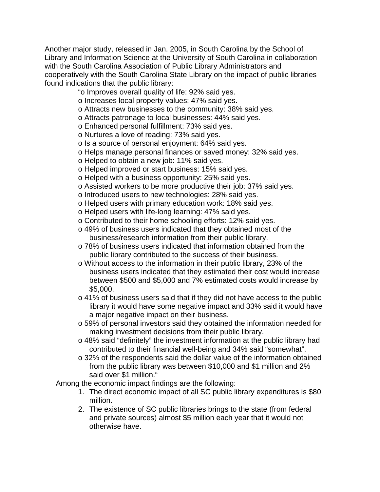Another major study, released in Jan. 2005, in South Carolina by the [School of](http://www.libsci.sc.edu/)  [Library and Information Science](http://www.libsci.sc.edu/) at the [University of South Carolina](http://www.sc.edu/) in collaboration with the [South Carolina Association of Public Library Administrators](http://www.state.sc.us/scsl/apla) and cooperatively with the [South Carolina State Library](http://www.state.sc.us/scsl) on the impact of public libraries found indications that the public library:

"o Improves overall quality of life: 92% said yes.

- o Increases local property values: 47% said yes.
- o Attracts new businesses to the community: 38% said yes.
- o Attracts patronage to local businesses: 44% said yes.
- o Enhanced personal fulfillment: 73% said yes.
- o Nurtures a love of reading: 73% said yes.
- o Is a source of personal enjoyment: 64% said yes.
- o Helps manage personal finances or saved money: 32% said yes.
- o Helped to obtain a new job: 11% said yes.
- o Helped improved or start business: 15% said yes.
- o Helped with a business opportunity: 25% said yes.
- o Assisted workers to be more productive their job: 37% said yes.
- o Introduced users to new technologies: 28% said yes.
- o Helped users with primary education work: 18% said yes.
- o Helped users with life-long learning: 47% said yes.
- o Contributed to their home schooling efforts: 12% said yes.
- o 49% of business users indicated that they obtained most of the business/research information from their public library.
- o 78% of business users indicated that information obtained from the public library contributed to the success of their business.
- o Without access to the information in their public library, 23% of the business users indicated that they estimated their cost would increase between \$500 and \$5,000 and 7% estimated costs would increase by \$5,000.
- o 41% of business users said that if they did not have access to the public library it would have some negative impact and 33% said it would have a major negative impact on their business.
- o 59% of personal investors said they obtained the information needed for making investment decisions from their public library.
- o 48% said "definitely" the investment information at the public library had contributed to their financial well-being and 34% said "somewhat".
- o 32% of the respondents said the dollar value of the information obtained from the public library was between \$10,000 and \$1 million and 2% said over \$1 million."

Among the economic impact findings are the following:

- 1. The direct economic impact of all SC public library expenditures is \$80 million.
- 2. The existence of SC public libraries brings to the state (from federal and private sources) almost \$5 million each year that it would not otherwise have.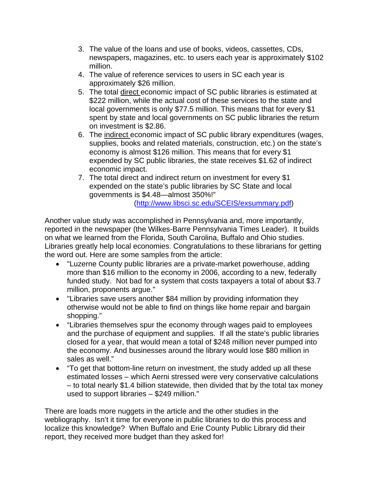- 3. The value of the loans and use of books, videos, cassettes, CDs, newspapers, magazines, etc. to users each year is approximately \$102 million.
- 4. The value of reference services to users in SC each year is approximately \$26 million.
- 5. The total direct economic impact of SC public libraries is estimated at \$222 million, while the actual cost of these services to the state and local governments is only \$77.5 million. This means that for every \$1 spent by state and local governments on SC public libraries the return on investment is \$2.86.
- 6. The indirect economic impact of SC public library expenditures (wages, supplies, books and related materials, construction, etc.) on the state's economy is almost \$126 million. This means that for every \$1 expended by SC public libraries, the state receives \$1.62 of indirect economic impact.
- 7. The total direct and indirect return on investment for every \$1 expended on the state's public libraries by SC State and local governments is \$4.48—almost 350%!" [\(http://www.libsci.sc.edu/SCEIS/exsummary.pdf](http://www.libsci.sc.edu/SCEIS/exsummary.pdf))

Another value study was accomplished in Pennsylvania and, more importantly, reported in the newspaper (the [Wilkes-Barre Pennsylvania Times Leader\)](http://www.timesleader.com/news/20070807_07libraries_mg_ART.html). It builds on what we learned from the Florida, South Carolina, Buffalo and Ohio studies. Libraries greatly help local economies. Congratulations to these librarians for getting the word out. Here are some samples from the article:

- "Luzerne County public libraries are a private-market powerhouse, adding more than \$16 million to the economy in 2006, according to a new, federally funded study. Not bad for a system that costs taxpayers a total of about \$3.7 million, proponents argue."
- "Libraries save users another \$84 million by providing information they otherwise would not be able to find on things like home repair and bargain shopping."
- "Libraries themselves spur the economy through wages paid to employees and the purchase of equipment and supplies. If all the state's public libraries closed for a year, that would mean a total of \$248 million never pumped into the economy. And businesses around the library would lose \$80 million in sales as well."
- "To get that bottom-line return on investment, the study added up all these estimated losses – which Aerni stressed were very conservative calculations – to total nearly \$1.4 billion statewide, then divided that by the total tax money used to support libraries – \$249 million."

There are loads more nuggets in the article and the other studies in the webliography. Isn't it time for everyone in public libraries to do this process and localize this knowledge? When Buffalo and Erie County Public Library did their report, they received more budget than they asked for!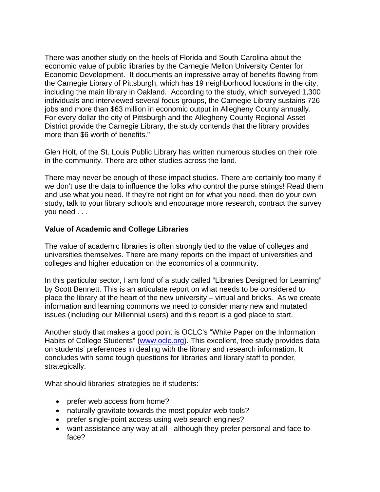There was another study on the heels of Florida and South Carolina about the economic value of public libraries by the Carnegie Mellon University Center for Economic Development. It documents an impressive array of benefits flowing from the Carnegie Library of Pittsburgh, which has 19 neighborhood locations in the city, including the main library in Oakland. According to the study, which surveyed 1,300 individuals and interviewed several focus groups, the Carnegie Library sustains 726 jobs and more than \$63 million in economic output in Allegheny County annually. For every dollar the city of Pittsburgh and the Allegheny County Regional Asset District provide the Carnegie Library, the study contends that the library provides more than \$6 worth of benefits."

Glen Holt, of the St. Louis Public Library has written numerous studies on their role in the community. There are other studies across the land.

There may never be enough of these impact studies. There are certainly too many if we don't use the data to influence the folks who control the purse strings! Read them and use what you need. If they're not right on for what you need, then do your own study, talk to your library schools and encourage more research, contract the survey you need . . .

### **Value of Academic and College Libraries**

The value of academic libraries is often strongly tied to the value of colleges and universities themselves. There are many reports on the impact of universities and colleges and higher education on the economics of a community.

In this particular sector, I am fond of a study called "Libraries Designed for Learning" by Scott Bennett. This is an articulate report on what needs to be considered to place the library at the heart of the new university – virtual and bricks. As we create information and learning commons we need to consider many new and mutated issues (including our Millennial users) and this report is a god place to start.

Another study that makes a good point is OCLC's "White Paper on the Information Habits of College Students" [\(www.oclc.org\)](http://www.oclc.org/). This excellent, free study provides data on students' preferences in dealing with the library and research information. It concludes with some tough questions for libraries and library staff to ponder, strategically.

What should libraries' strategies be if students:

- prefer web access from home?
- naturally gravitate towards the most popular web tools?
- prefer single-point access using web search engines?
- want assistance any way at all although they prefer personal and face-toface?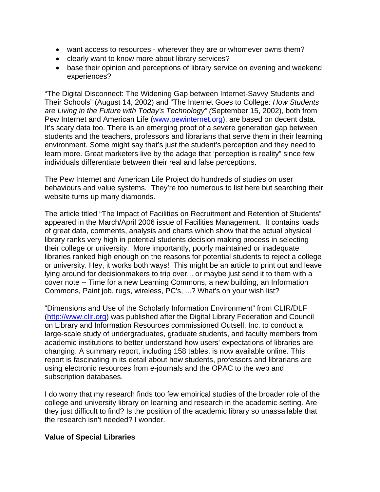- want access to resources wherever they are or whomever owns them?
- clearly want to know more about library services?
- base their opinion and perceptions of library service on evening and weekend experiences?

"The Digital Disconnect: The Widening Gap between Internet-Savvy Students and Their Schools" (August 14, 2002) and "The Internet Goes to College: *How Students are Living in the Future with Today's Technology" (*September 15, 2002), both from Pew Internet and American Life ([www.pewinternet.org\)](http://www.pewinternet.org/), are based on decent data. It's scary data too. There is an emerging proof of a severe generation gap between students and the teachers, professors and librarians that serve them in their learning environment. Some might say that's just the student's perception and they need to learn more. Great marketers live by the adage that 'perception is reality" since few individuals differentiate between their real and false perceptions.

The Pew Internet and American Life Project do hundreds of studies on user behaviours and value systems. They're too numerous to list here but searching their website turns up many diamonds.

The article titled "[The Impact of Facilities on Recruitment and Retention of Students](http://www.appa.org/files/FMArticles/fm030406_f7_impact.pdf)" appeared in the March/April 2006 issue of Facilities Management. It contains loads of great data, comments, analysis and charts which show that the actual physical library ranks very high in potential students decision making process in selecting their college or university. More importantly, poorly maintained or inadequate libraries ranked high enough on the reasons for potential students to reject a college or university. Hey, it works both ways! This might be an article to print out and leave lying around for decisionmakers to trip over... or maybe just send it to them with a cover note -- Time for a new Learning Commons, a new building, an Information Commons, Paint job, rugs, wireless, PC's, ...? What's on your wish list?

"Dimensions and Use of the Scholarly Information Environment" from CLIR/DLF ([http://www.clir.org](http://www.clir.org/)) was published after the Digital Library Federation and Council on Library and Information Resources commissioned Outsell, Inc. to conduct a large-scale study of undergraduates, graduate students, and faculty members from academic institutions to better understand how users' expectations of libraries are changing. [A summary report, including 158 tables, is now available online](http://webstl.sirsi.com/exchange/stephen.abram/Inbox/Studies.EML/pubs/abstract/pub110abst.html). This report is fascinating in its detail about how students, professors and librarians are using electronic resources from e-journals and the OPAC to the web and subscription databases.

I do worry that my research finds too few empirical studies of the broader role of the college and university library on learning and research in the academic setting. Are they just difficult to find? Is the position of the academic library so unassailable that the research isn't needed? I wonder.

### **Value of Special Libraries**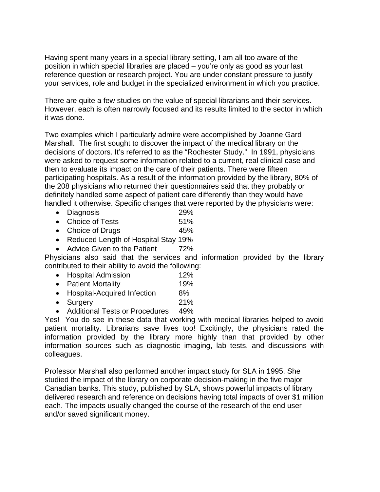Having spent many years in a special library setting, I am all too aware of the position in which special libraries are placed – you're only as good as your last reference question or research project. You are under constant pressure to justify your services, role and budget in the specialized environment in which you practice.

There are quite a few studies on the value of special librarians and their services. However, each is often narrowly focused and its results limited to the sector in which it was done.

Two examples which I particularly admire were accomplished by Joanne Gard Marshall. The first sought to discover the impact of the medical library on the decisions of doctors. It's referred to as the "Rochester Study." In 1991, physicians were asked to request some information related to a current, real clinical case and then to evaluate its impact on the care of their patients. There were fifteen participating hospitals. As a result of the information provided by the library, 80% of the 208 physicians who returned their questionnaires said that they probably or definitely handled some aspect of patient care differently than they would have handled it otherwise. Specific changes that were reported by the physicians were:

- Diagnosis 29%
- Choice of Tests 51%
- Choice of Drugs 45%
- Reduced Length of Hospital Stay 19%
- Advice Given to the Patient 72%

Physicians also said that the services and information provided by the library contributed to their ability to avoid the following:

- Hospital Admission 12%
- Patient Mortality 19%
- Hospital-Acquired Infection 8%
- Surgery 21%
- Additional Tests or Procedures 49%

Yes! You do see in these data that working with medical libraries helped to avoid patient mortality. Librarians save lives too! Excitingly, the physicians rated the information provided by the library more highly than that provided by other information sources such as diagnostic imaging, lab tests, and discussions with colleagues.

Professor Marshall also performed another impact study for SLA in 1995. She studied the impact of the library on corporate decision-making in the five major Canadian banks. This study, published by SLA, shows powerful impacts of library delivered research and reference on decisions having total impacts of over \$1 million each. The impacts usually changed the course of the research of the end user and/or saved significant money.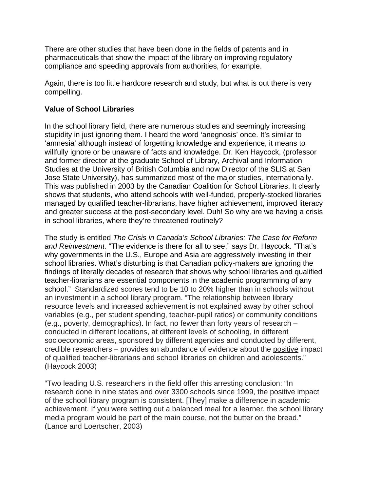There are other studies that have been done in the fields of patents and in pharmaceuticals that show the impact of the library on improving regulatory compliance and speeding approvals from authorities, for example.

Again, there is too little hardcore research and study, but what is out there is very compelling.

## **Value of School Libraries**

In the school library field, there are numerous studies and seemingly increasing stupidity in just ignoring them. I heard the word 'anegnosis' once. It's similar to 'amnesia' although instead of forgetting knowledge and experience, it means to willfully ignore or be unaware of facts and knowledge. Dr. Ken Haycock, (professor and former director at the graduate School of Library, Archival and Information Studies at the University of British Columbia and now Director of the SLIS at San Jose State University), has summarized most of the major studies, internationally. This was published in 2003 by the Canadian Coalition for School Libraries. It clearly shows that students, who attend schools with well-funded, properly-stocked libraries managed by qualified teacher-librarians, have higher achievement, improved literacy and greater success at the post-secondary level. Duh! So why are we having a crisis in school libraries, where they're threatened routinely?

The study is entitled *The Crisis in Canada's School Libraries: The Case for Reform and Reinvestment*. "The evidence is there for all to see," says Dr. Haycock. "That's why governments in the U.S., Europe and Asia are aggressively investing in their school libraries. What's disturbing is that Canadian policy-makers are ignoring the findings of literally decades of research that shows why school libraries and qualified teacher-librarians are essential components in the academic programming of any school." Standardized scores tend to be 10 to 20% higher than in schools without an investment in a school library program. "The relationship between library resource levels and increased achievement is not explained away by other school variables (e.g., per student spending, teacher-pupil ratios) or community conditions (e.g., poverty, demographics). In fact, no fewer than forty years of research – conducted in different locations, at different levels of schooling, in different socioeconomic areas, sponsored by different agencies and conducted by different, credible researchers – provides an abundance of evidence about the positive impact of qualified teacher-librarians and school libraries on children and adolescents." (Haycock 2003)

"Two leading U.S. researchers in the field offer this arresting conclusion: "In research done in nine states and over 3300 schools since 1999, the positive impact of the school library program is consistent. [They] make a difference in academic achievement. If you were setting out a balanced meal for a learner, the school library media program would be part of the main course, not the butter on the bread." (Lance and Loertscher, 2003)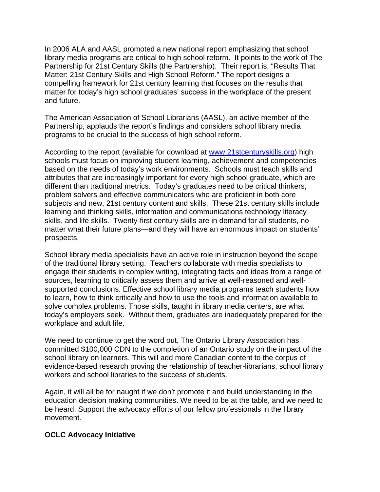In 2006 ALA and AASL promoted a new national report emphasizing that school library media programs are critical to high school reform. It points to the work of The Partnership for 21st Century Skills (the Partnership). Their report is, "Results That Matter: 21st Century Skills and High School Reform." The report designs a compelling framework for 21st century learning that focuses on the results that matter for today's high school graduates' success in the workplace of the present and future.

The American Association of School Librarians (AASL), an active member of the Partnership, applauds the report's findings and considers school library media programs to be crucial to the success of high school reform.

According to the report (available for download at [www.21stcenturyskills.org\)](http://www.21stcenturyskills.org/) high schools must focus on improving student learning, achievement and competencies based on the needs of today's work environments. Schools must teach skills and attributes that are increasingly important for every high school graduate, which are different than traditional metrics. Today's graduates need to be critical thinkers, problem solvers and effective communicators who are proficient in both core subjects and new, 21st century content and skills. These 21st century skills include learning and thinking skills, information and communications technology literacy skills, and life skills. Twenty-first century skills are in demand for all students, no matter what their future plans—and they will have an enormous impact on students' prospects.

School library media specialists have an active role in instruction beyond the scope of the traditional library setting. Teachers collaborate with media specialists to engage their students in complex writing, integrating facts and ideas from a range of sources, learning to critically assess them and arrive at well-reasoned and wellsupported conclusions. Effective school library media programs teach students how to learn, how to think critically and how to use the tools and information available to solve complex problems. Those skills, taught in library media centers, are what today's employers seek. Without them, graduates are inadequately prepared for the workplace and adult life.

We need to continue to get the word out. The Ontario Library Association has committed \$100,000 CDN to the completion of an Ontario study on the impact of the school library on learners. This will add more Canadian content to the corpus of evidence-based research proving the relationship of teacher-librarians, school library workers and school libraries to the success of students.

Again, it will all be for naught if we don't promote it and build understanding in the education decision making communities. We need to be at the table, and we need to be heard. Support the advocacy efforts of our fellow professionals in the library movement.

### **OCLC Advocacy Initiative**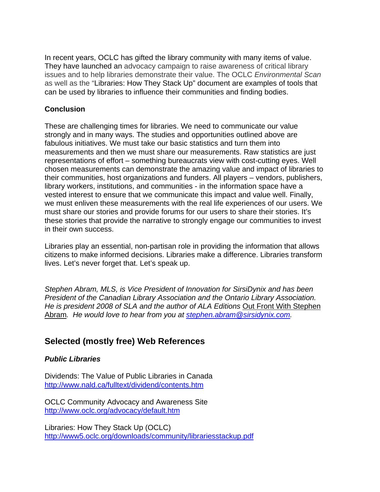In recent years, OCLC has gifted the library community with many items of value. They have launched an advocacy campaign to raise awareness of critical library issues and to help libraries demonstrate their value. The OCLC *Environmental Scan* as well as the "Libraries: How They Stack Up" document are examples of tools that can be used by libraries to influence their communities and finding bodies.

## **Conclusion**

These are challenging times for libraries. We need to communicate our value strongly and in many ways. The studies and opportunities outlined above are fabulous initiatives. We must take our basic statistics and turn them into measurements and then we must share our measurements. Raw statistics are just representations of effort – something bureaucrats view with cost-cutting eyes. Well chosen measurements can demonstrate the amazing value and impact of libraries to their communities, host organizations and funders. All players – vendors, publishers, library workers, institutions, and communities - in the information space have a vested interest to ensure that we communicate this impact and value well. Finally, we must enliven these measurements with the real life experiences of our users. We must share our stories and provide forums for our users to share their stories. It's these stories that provide the narrative to strongly engage our communities to invest in their own success.

Libraries play an essential, non-partisan role in providing the information that allows citizens to make informed decisions. Libraries make a difference. Libraries transform lives. Let's never forget that. Let's speak up.

*Stephen Abram, MLS, is Vice President of Innovation for SirsiDynix and has been President of the Canadian Library Association and the Ontario Library Association. He is president 2008 of SLA and the author of ALA Editions Out Front With Stephen* Abram*. He would love to hear from you at [stephen.abram@sirsidynix.com.](mailto:stephen.abram@sirsidynix.com)* 

# **Selected (mostly free) Web References**

# *Public Libraries*

Dividends: The Value of Public Libraries in Canada <http://www.nald.ca/fulltext/dividend/contents.htm>

OCLC Community Advocacy and Awareness Site <http://www.oclc.org/advocacy/default.htm>

Libraries: How They Stack Up (OCLC) <http://www5.oclc.org/downloads/community/librariesstackup.pdf>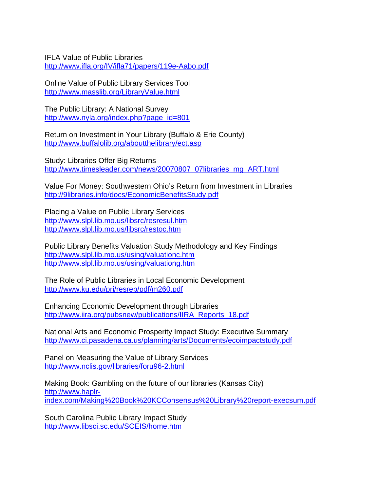IFLA Value of Public Libraries <http://www.ifla.org/IV/ifla71/papers/119e-Aabo.pdf>

Online Value of Public Library Services Tool <http://www.masslib.org/LibraryValue.html>

The Public Library: A National Survey [http://www.nyla.org/index.php?page\\_id=801](http://www.nyla.org/index.php?page_id=801)

Return on Investment in Your Library (Buffalo & Erie County) <http://www.buffalolib.org/aboutthelibrary/ect.asp>

Study: Libraries Offer Big Returns [http://www.timesleader.com/news/20070807\\_07libraries\\_mg\\_ART.html](http://www.timesleader.com/news/20070807_07libraries_mg_ART.html)

[Value For Money: Southwestern Ohio's Return from Investment in Libraries](http://9libraries.info/docs/EconomicBenefitsStudy.pdf) <http://9libraries.info/docs/EconomicBenefitsStudy.pdf>

Placing a Value on Public Library Services <http://www.slpl.lib.mo.us/libsrc/resresul.htm> <http://www.slpl.lib.mo.us/libsrc/restoc.htm>

Public Library Benefits Valuation Study Methodology and Key Findings <http://www.slpl.lib.mo.us/using/valuationc.htm> <http://www.slpl.lib.mo.us/using/valuationg.htm>

The Role of Public Libraries in Local Economic Development <http://www.ku.edu/pri/resrep/pdf/m260.pdf>

Enhancing Economic Development through Libraries [http://www.iira.org/pubsnew/publications/IIRA\\_Reports\\_18.pdf](http://www.iira.org/pubsnew/publications/IIRA_Reports_18.pdf)

National Arts and Economic Prosperity Impact Study: Executive Summary <http://www.ci.pasadena.ca.us/planning/arts/Documents/ecoimpactstudy.pdf>

Panel on Measuring the Value of Library Services <http://www.nclis.gov/libraries/foru96-2.html>

Making Book: Gambling on the future of our libraries (Kansas City) [http://www.haplr](http://www.haplr-index.com/Making%20Book%20KCConsensus%20Library%20report-execsum.pdf)[index.com/Making%20Book%20KCConsensus%20Library%20report-execsum.pdf](http://www.haplr-index.com/Making%20Book%20KCConsensus%20Library%20report-execsum.pdf)

South Carolina Public Library Impact Study <http://www.libsci.sc.edu/SCEIS/home.htm>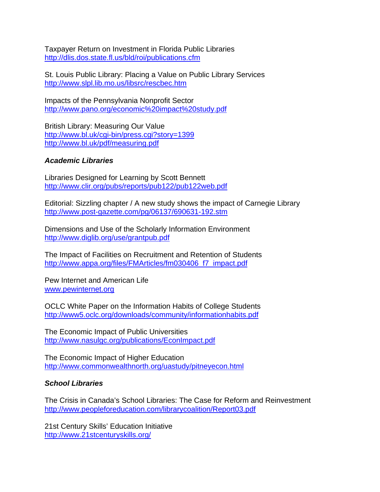Taxpayer Return on Investment in Florida Public Libraries <http://dlis.dos.state.fl.us/bld/roi/publications.cfm>

St. Louis Public Library: Placing a Value on Public Library Services <http://www.slpl.lib.mo.us/libsrc/rescbec.htm>

Impacts of the Pennsylvania Nonprofit Sector <http://www.pano.org/economic%20impact%20study.pdf>

British Library: Measuring Our Value <http://www.bl.uk/cgi-bin/press.cgi?story=1399> <http://www.bl.uk/pdf/measuring.pdf>

## *Academic Libraries*

Libraries Designed for Learning by Scott Bennett <http://www.clir.org/pubs/reports/pub122/pub122web.pdf>

Editorial: Sizzling chapter / A new study shows the impact of Carnegie Library <http://www.post-gazette.com/pg/06137/690631-192.stm>

Dimensions and Use of the Scholarly Information Environment <http://www.diglib.org/use/grantpub.pdf>

[The Impact of Facilities on Recruitment and Retention of Students](http://www.appa.org/files/FMArticles/fm030406_f7_impact.pdf) [http://www.appa.org/files/FMArticles/fm030406\\_f7\\_impact.pdf](http://www.appa.org/files/FMArticles/fm030406_f7_impact.pdf) 

Pew Internet and American Life [www.pewinternet.org](http://www.pewinternet.org/)

OCLC White Paper on the Information Habits of College Students <http://www5.oclc.org/downloads/community/informationhabits.pdf>

The Economic Impact of Public Universities <http://www.nasulgc.org/publications/EconImpact.pdf>

The Economic Impact of Higher Education <http://www.commonwealthnorth.org/uastudy/pitneyecon.html>

### *School Libraries*

The Crisis in Canada's School Libraries: The Case for Reform and Reinvestment <http://www.peopleforeducation.com/librarycoalition/Report03.pdf>

21st Century Skills' Education Initiative <http://www.21stcenturyskills.org/>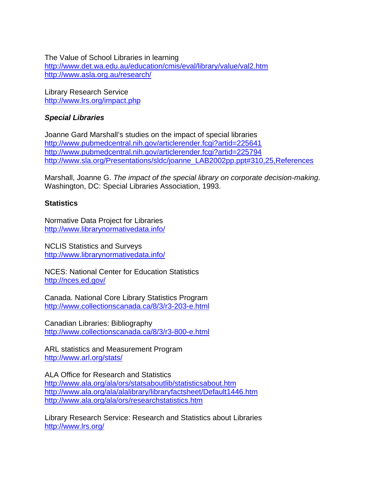The Value of School Libraries in learning <http://www.det.wa.edu.au/education/cmis/eval/library/value/val2.htm> <http://www.asla.org.au/research/>

Library Research Service <http://www.lrs.org/impact.php>

# *Special Libraries*

Joanne Gard Marshall's studies on the impact of special libraries <http://www.pubmedcentral.nih.gov/articlerender.fcgi?artid=225641> <http://www.pubmedcentral.nih.gov/articlerender.fcgi?artid=225794> [http://www.sla.org/Presentations/sldc/joanne\\_LAB2002pp.ppt#310,25,References](http://www.sla.org/Presentations/sldc/joanne_LAB2002pp.ppt#310,25,References)

Marshall, Joanne G. *The impact of the special library on corporate decision-making*. Washington, DC: Special Libraries Association, 1993.

# **Statistics**

Normative Data Project for Libraries <http://www.librarynormativedata.info/>

NCLIS Statistics and Surveys <http://www.librarynormativedata.info/>

NCES: National Center for Education Statistics <http://nces.ed.gov/>

Canada. National Core Library Statistics Program <http://www.collectionscanada.ca/8/3/r3-203-e.html>

Canadian Libraries: Bibliography <http://www.collectionscanada.ca/8/3/r3-800-e.html>

ARL statistics and Measurement Program <http://www.arl.org/stats/>

ALA Office for Research and Statistics <http://www.ala.org/ala/ors/statsaboutlib/statisticsabout.htm> <http://www.ala.org/ala/alalibrary/libraryfactsheet/Default1446.htm> <http://www.ala.org/ala/ors/researchstatistics.htm>

Library Research Service: Research and Statistics about Libraries <http://www.lrs.org/>